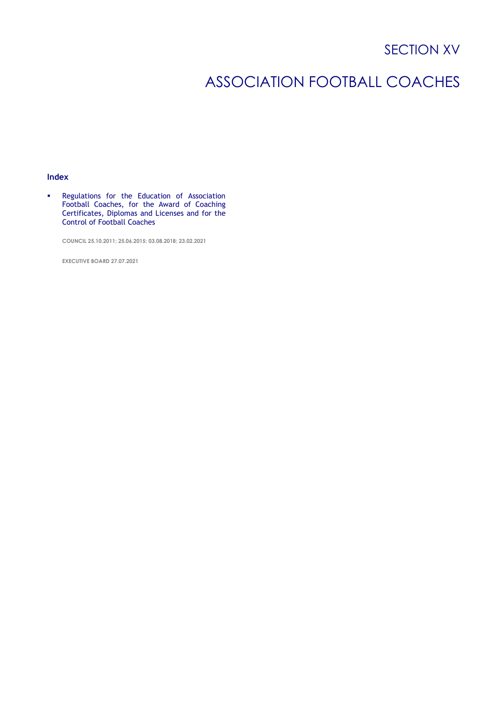# SECTION XV

# ASSOCIATION FOOTBALL COACHES

# **Index**

▪ Regulations for the Education of Association Football Coaches, for the Award of Coaching Certificates, Diplomas and Licenses and for the Control of Football Coaches

**COUNCIL 25.10.2011; 25.06.2015; 03.08.2018; 23.02.2021**

**EXECUTIVE BOARD 27.07.2021**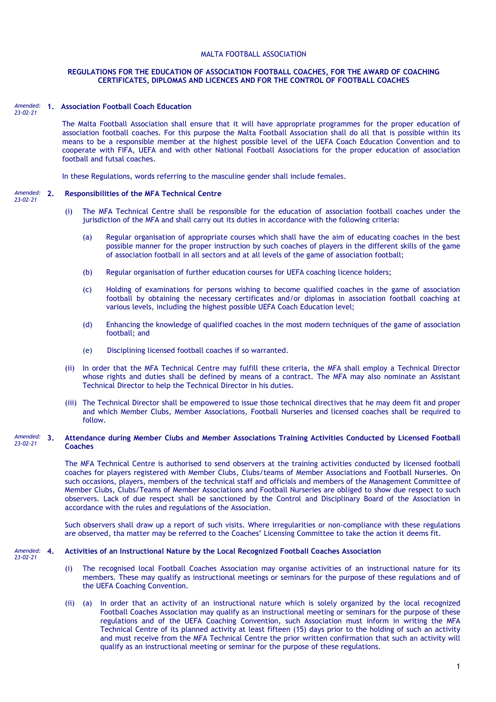## MALTA FOOTBALL ASSOCIATION

## **REGULATIONS FOR THE EDUCATION OF ASSOCIATION FOOTBALL COACHES, FOR THE AWARD OF COACHING CERTIFICATES, DIPLOMAS AND LICENCES AND FOR THE CONTROL OF FOOTBALL COACHES**

### **1. Association Football Coach Education**  *Amended: 23-02-21*

The Malta Football Association shall ensure that it will have appropriate programmes for the proper education of association football coaches. For this purpose the Malta Football Association shall do all that is possible within its means to be a responsible member at the highest possible level of the UEFA Coach Education Convention and to cooperate with FIFA, UEFA and with other National Football Associations for the proper education of association football and futsal coaches.

In these Regulations, words referring to the masculine gender shall include females.

#### **2. Responsibilities of the MFA Technical Centre** *Amended: 23-02-21*

- (i) The MFA Technical Centre shall be responsible for the education of association football coaches under the jurisdiction of the MFA and shall carry out its duties in accordance with the following criteria:
	- (a) Regular organisation of appropriate courses which shall have the aim of educating coaches in the best possible manner for the proper instruction by such coaches of players in the different skills of the game of association football in all sectors and at all levels of the game of association football;
	- (b) Regular organisation of further education courses for UEFA coaching licence holders;
	- (c) Holding of examinations for persons wishing to become qualified coaches in the game of association football by obtaining the necessary certificates and/or diplomas in association football coaching at various levels, including the highest possible UEFA Coach Education level;
	- (d) Enhancing the knowledge of qualified coaches in the most modern techniques of the game of association football; and
	- (e) Disciplining licensed football coaches if so warranted.
- (ii) In order that the MFA Technical Centre may fulfill these criteria, the MFA shall employ a Technical Director whose rights and duties shall be defined by means of a contract. The MFA may also nominate an Assistant Technical Director to help the Technical Director in his duties.
- (iii) The Technical Director shall be empowered to issue those technical directives that he may deem fit and proper and which Member Clubs, Member Associations, Football Nurseries and licensed coaches shall be required to follow.

#### **3. Attendance during Member Clubs and Member Associations Training Activities Conducted by Licensed Football Coaches** *Amended: 23-02-21*

The MFA Technical Centre is authorised to send observers at the training activities conducted by licensed football coaches for players registered with Member Clubs, Clubs/teams of Member Associations and Football Nurseries. On such occasions, players, members of the technical staff and officials and members of the Management Committee of Member Clubs, Clubs/Teams of Member Associations and Football Nurseries are obliged to show due respect to such observers. Lack of due respect shall be sanctioned by the Control and Disciplinary Board of the Association in accordance with the rules and regulations of the Association.

Such observers shall draw up a report of such visits. Where irregularities or non-compliance with these regulations are observed, tha matter may be referred to the Coaches' Licensing Committee to take the action it deems fit.

#### **4. Activities of an Instructional Nature by the Local Recognized Football Coaches Association** *Amended:*

- *23-02-21*
- (i) The recognised local Football Coaches Association may organise activities of an instructional nature for its members. These may qualify as instructional meetings or seminars for the purpose of these regulations and of the UEFA Coaching Convention.
- (ii) (a) In order that an activity of an instructional nature which is solely organized by the local recognized Football Coaches Association may qualify as an instructional meeting or seminars for the purpose of these regulations and of the UEFA Coaching Convention, such Association must inform in writing the MFA Technical Centre of its planned activity at least fifteen (15) days prior to the holding of such an activity and must receive from the MFA Technical Centre the prior written confirmation that such an activity will qualify as an instructional meeting or seminar for the purpose of these regulations.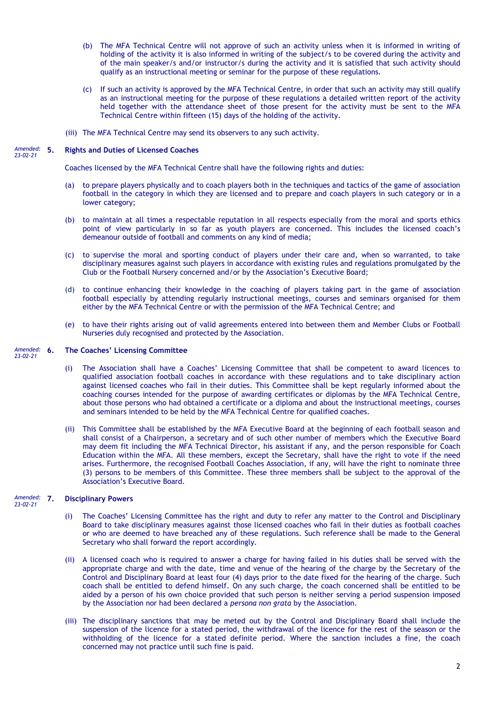- (b) The MFA Technical Centre will not approve of such an activity unless when it is informed in writing of holding of the activity it is also informed in writing of the subject/s to be covered during the activity and of the main speaker/s and/or instructor/s during the activity and it is satisfied that such activity should qualify as an instructional meeting or seminar for the purpose of these regulations.
- (c) If such an activity is approved by the MFA Technical Centre, in order that such an activity may still qualify as an instructional meeting for the purpose of these regulations a detailed written report of the activity held together with the attendance sheet of those present for the activity must be sent to the MFA Technical Centre within fifteen (15) days of the holding of the activity.
- (iii) The MFA Technical Centre may send its observers to any such activity.

#### **5. Rights and Duties of Licensed Coaches** *Amended: 23-02-21*

Coaches licensed by the MFA Technical Centre shall have the following rights and duties:

- (a) to prepare players physically and to coach players both in the techniques and tactics of the game of association football in the category in which they are licensed and to prepare and coach players in such category or in a lower category;
- (b) to maintain at all times a respectable reputation in all respects especially from the moral and sports ethics point of view particularly in so far as youth players are concerned. This includes the licensed coach's demeanour outside of football and comments on any kind of media;
- (c) to supervise the moral and sporting conduct of players under their care and, when so warranted, to take disciplinary measures against such players in accordance with existing rules and regulations promulgated by the Club or the Football Nursery concerned and/or by the Association's Executive Board;
- (d) to continue enhancing their knowledge in the coaching of players taking part in the game of association football especially by attending regularly instructional meetings, courses and seminars organised for them either by the MFA Technical Centre or with the permission of the MFA Technical Centre; and
- (e) to have their rights arising out of valid agreements entered into between them and Member Clubs or Football Nurseries duly recognised and protected by the Association.

#### **6. The Coaches' Licensing Committee** *Amended: 23-02-21*

- (i) The Association shall have a Coaches' Licensing Committee that shall be competent to award licences to qualified association football coaches in accordance with these regulations and to take disciplinary action against licensed coaches who fail in their duties. This Committee shall be kept regularly informed about the coaching courses intended for the purpose of awarding certificates or diplomas by the MFA Technical Centre, about those persons who had obtained a certificate or a diploma and about the instructional meetings, courses and seminars intended to be held by the MFA Technical Centre for qualified coaches.
- (ii) This Committee shall be established by the MFA Executive Board at the beginning of each football season and shall consist of a Chairperson, a secretary and of such other number of members which the Executive Board may deem fit including the MFA Technical Director, his assistant if any, and the person responsible for Coach Education within the MFA. All these members, except the Secretary, shall have the right to vote if the need arises. Furthermore, the recognised Football Coaches Association, if any, will have the right to nominate three (3) persons to be members of this Committee. These three members shall be subject to the approval of the Association's Executive Board.

#### **7. Disciplinary Powers** *Amended: 23-02-21*

- (i) The Coaches' Licensing Committee has the right and duty to refer any matter to the Control and Disciplinary Board to take disciplinary measures against those licensed coaches who fail in their duties as football coaches or who are deemed to have breached any of these regulations. Such reference shall be made to the General Secretary who shall forward the report accordingly.
- (ii) A licensed coach who is required to answer a charge for having failed in his duties shall be served with the appropriate charge and with the date, time and venue of the hearing of the charge by the Secretary of the Control and Disciplinary Board at least four (4) days prior to the date fixed for the hearing of the charge. Such coach shall be entitled to defend himself. On any such charge, the coach concerned shall be entitled to be aided by a person of his own choice provided that such person is neither serving a period suspension imposed by the Association nor had been declared a *persona non grata* by the Association.
- (iii) The disciplinary sanctions that may be meted out by the Control and Disciplinary Board shall include the suspension of the licence for a stated period, the withdrawal of the licence for the rest of the season or the withholding of the licence for a stated definite period. Where the sanction includes a fine, the coach concerned may not practice until such fine is paid.

2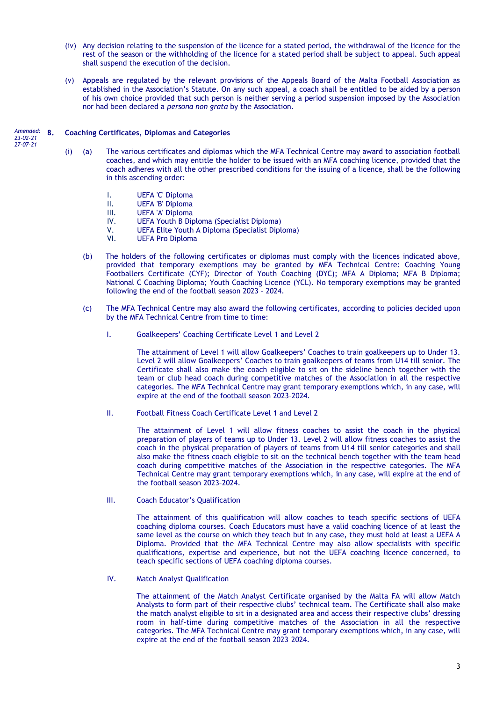- (iv) Any decision relating to the suspension of the licence for a stated period, the withdrawal of the licence for the rest of the season or the withholding of the licence for a stated period shall be subject to appeal. Such appeal shall suspend the execution of the decision.
- (v) Appeals are regulated by the relevant provisions of the Appeals Board of the Malta Football Association as established in the Association's Statute. On any such appeal, a coach shall be entitled to be aided by a person of his own choice provided that such person is neither serving a period suspension imposed by the Association nor had been declared a *persona non grata* by the Association.

#### **8. Coaching Certificates, Diplomas and Categories** *Amended:*

*23-02-21 27-07-21*

- (i) (a) The various certificates and diplomas which the MFA Technical Centre may award to association football coaches, and which may entitle the holder to be issued with an MFA coaching licence, provided that the coach adheres with all the other prescribed conditions for the issuing of a licence, shall be the following in this ascending order:
	- I. UEFA 'C' Diploma<br>II. UEFA 'B' Diploma
	- UEFA 'B' Diploma
	- III. UEFA 'A' Diploma
	- IV. UEFA Youth B Diploma (Specialist Diploma)
	- V. UEFA Elite Youth A Diploma (Specialist Diploma)
	- **UEFA Pro Diploma**
	- (b) The holders of the following certificates or diplomas must comply with the licences indicated above, provided that temporary exemptions may be granted by MFA Technical Centre: Coaching Young Footballers Certificate (CYF); Director of Youth Coaching (DYC); MFA A Diploma; MFA B Diploma; National C Coaching Diploma; Youth Coaching Licence (YCL). No temporary exemptions may be granted following the end of the football season 2023 – 2024.
	- (c) The MFA Technical Centre may also award the following certificates, according to policies decided upon by the MFA Technical Centre from time to time:
		- I. Goalkeepers' Coaching Certificate Level 1 and Level 2

The attainment of Level 1 will allow Goalkeepers' Coaches to train goalkeepers up to Under 13. Level 2 will allow Goalkeepers' Coaches to train goalkeepers of teams from U14 till senior. The Certificate shall also make the coach eligible to sit on the sideline bench together with the team or club head coach during competitive matches of the Association in all the respective categories. The MFA Technical Centre may grant temporary exemptions which, in any case, will expire at the end of the football season 2023–2024.

II. Football Fitness Coach Certificate Level 1 and Level 2

The attainment of Level 1 will allow fitness coaches to assist the coach in the physical preparation of players of teams up to Under 13. Level 2 will allow fitness coaches to assist the coach in the physical preparation of players of teams from U14 till senior categories and shall also make the fitness coach eligible to sit on the technical bench together with the team head coach during competitive matches of the Association in the respective categories. The MFA Technical Centre may grant temporary exemptions which, in any case, will expire at the end of the football season 2023–2024.

III. Coach Educator's Qualification

The attainment of this qualification will allow coaches to teach specific sections of UEFA coaching diploma courses. Coach Educators must have a valid coaching licence of at least the same level as the course on which they teach but in any case, they must hold at least a UEFA A Diploma. Provided that the MFA Technical Centre may also allow specialists with specific qualifications, expertise and experience, but not the UEFA coaching licence concerned, to teach specific sections of UEFA coaching diploma courses.

IV. Match Analyst Qualification

The attainment of the Match Analyst Certificate organised by the Malta FA will allow Match Analysts to form part of their respective clubs' technical team. The Certificate shall also make the match analyst eligible to sit in a designated area and access their respective clubs' dressing room in half-time during competitive matches of the Association in all the respective categories. The MFA Technical Centre may grant temporary exemptions which, in any case, will expire at the end of the football season 2023–2024.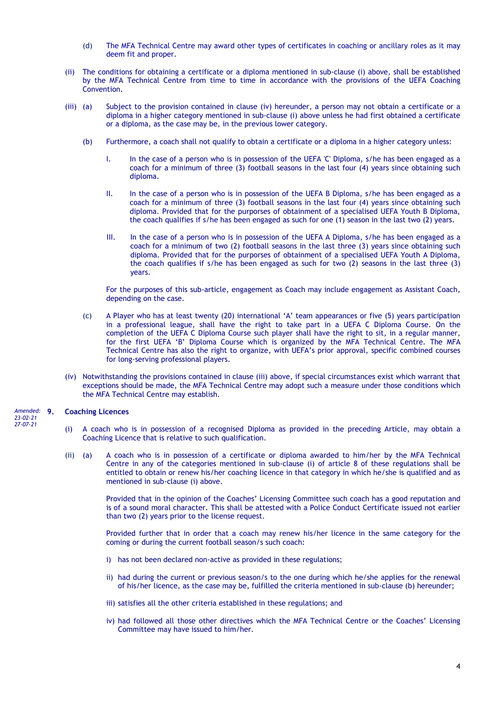- (d) The MFA Technical Centre may award other types of certificates in coaching or ancillary roles as it may deem fit and proper.
- (ii) The conditions for obtaining a certificate or a diploma mentioned in sub-clause (i) above, shall be established by the MFA Technical Centre from time to time in accordance with the provisions of the UEFA Coaching Convention.
- (iii) (a) Subject to the provision contained in clause (iv) hereunder, a person may not obtain a certificate or a diploma in a higher category mentioned in sub-clause (i) above unless he had first obtained a certificate or a diploma, as the case may be, in the previous lower category.
	- (b) Furthermore, a coach shall not qualify to obtain a certificate or a diploma in a higher category unless:
		- I. In the case of a person who is in possession of the UEFA 'C' Diploma, s/he has been engaged as a coach for a minimum of three (3) football seasons in the last four (4) years since obtaining such diploma.
		- II. In the case of a person who is in possession of the UEFA B Diploma, s/he has been engaged as a coach for a minimum of three (3) football seasons in the last four (4) years since obtaining such diploma. Provided that for the purporses of obtainment of a specialised UEFA Youth B Diploma, the coach qualifies if s/he has been engaged as such for one (1) season in the last two (2) years.
		- III. In the case of a person who is in possession of the UEFA A Diploma, s/he has been engaged as a coach for a minimum of two (2) football seasons in the last three (3) years since obtaining such diploma. Provided that for the purporses of obtainment of a specialised UEFA Youth A Diploma, the coach qualifies if s/he has been engaged as such for two (2) seasons in the last three (3) years.

For the purposes of this sub-article, engagement as Coach may include engagement as Assistant Coach, depending on the case.

- (c) A Player who has at least twenty (20) international 'A' team appearances or five (5) years participation in a professional league, shall have the right to take part in a UEFA C Diploma Course. On the completion of the UEFA C Diploma Course such player shall have the right to sit, in a regular manner, for the first UEFA 'B' Diploma Course which is organized by the MFA Technical Centre. The MFA Technical Centre has also the right to organize, with UEFA's prior approval, specific combined courses for long-serving professional players.
- (iv) Notwithstanding the provisions contained in clause (iii) above, if special circumstances exist which warrant that exceptions should be made, the MFA Technical Centre may adopt such a measure under those conditions which the MFA Technical Centre may establish.

#### **9. Coaching Licences** *Amended:*

*23-02-21 27-07-21*

- (i) A coach who is in possession of a recognised Diploma as provided in the preceding Article, may obtain a Coaching Licence that is relative to such qualification.
- (ii) (a) A coach who is in possession of a certificate or diploma awarded to him/her by the MFA Technical Centre in any of the categories mentioned in sub-clause (i) of article 8 of these regulations shall be entitled to obtain or renew his/her coaching licence in that category in which he/she is qualified and as mentioned in sub-clause (i) above.

Provided that in the opinion of the Coaches' Licensing Committee such coach has a good reputation and is of a sound moral character. This shall be attested with a Police Conduct Certificate issued not earlier than two (2) years prior to the license request.

Provided further that in order that a coach may renew his/her licence in the same category for the coming or during the current football season/s such coach:

- i) has not been declared non-active as provided in these regulations;
- ii) had during the current or previous season/s to the one during which he/she applies for the renewal of his/her licence, as the case may be, fulfilled the criteria mentioned in sub-clause (b) hereunder;
- iii) satisfies all the other criteria established in these regulations; and
- iv) had followed all those other directives which the MFA Technical Centre or the Coaches' Licensing Committee may have issued to him/her.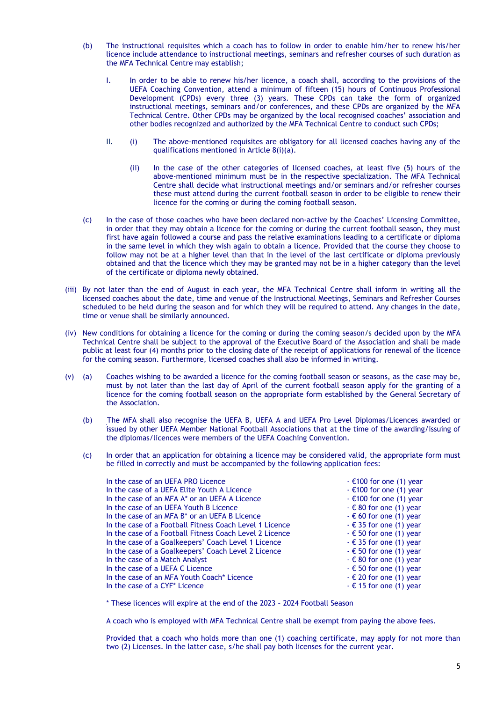- (b) The instructional requisites which a coach has to follow in order to enable him/her to renew his/her licence include attendance to instructional meetings, seminars and refresher courses of such duration as the MFA Technical Centre may establish;
	- I. In order to be able to renew his/her licence, a coach shall, according to the provisions of the UEFA Coaching Convention, attend a minimum of fifteen (15) hours of Continuous Professional Development (CPDs) every three (3) years. These CPDs can take the form of organized instructional meetings, seminars and/or conferences, and these CPDs are organized by the MFA Technical Centre. Other CPDs may be organized by the local recognised coaches' association and other bodies recognized and authorized by the MFA Technical Centre to conduct such CPDs;
	- II. (i) The above-mentioned requisites are obligatory for all licensed coaches having any of the qualifications mentioned in Article 8(i)(a).
		- (ii) In the case of the other categories of licensed coaches, at least five (5) hours of the above-mentioned minimum must be in the respective specialization. The MFA Technical Centre shall decide what instructional meetings and/or seminars and/or refresher courses these must attend during the current football season in order to be eligible to renew their licence for the coming or during the coming football season.
- (c) In the case of those coaches who have been declared non-active by the Coaches' Licensing Committee, in order that they may obtain a licence for the coming or during the current football season, they must first have again followed a course and pass the relative examinations leading to a certificate or diploma in the same level in which they wish again to obtain a licence. Provided that the course they choose to follow may not be at a higher level than that in the level of the last certificate or diploma previously obtained and that the licence which they may be granted may not be in a higher category than the level of the certificate or diploma newly obtained.
- (iii) By not later than the end of August in each year, the MFA Technical Centre shall inform in writing all the licensed coaches about the date, time and venue of the Instructional Meetings, Seminars and Refresher Courses scheduled to be held during the season and for which they will be required to attend. Any changes in the date, time or venue shall be similarly announced.
- (iv) New conditions for obtaining a licence for the coming or during the coming season/s decided upon by the MFA Technical Centre shall be subject to the approval of the Executive Board of the Association and shall be made public at least four (4) months prior to the closing date of the receipt of applications for renewal of the licence for the coming season. Furthermore, licensed coaches shall also be informed in writing.
- (v) (a) Coaches wishing to be awarded a licence for the coming football season or seasons, as the case may be, must by not later than the last day of April of the current football season apply for the granting of a licence for the coming football season on the appropriate form established by the General Secretary of the Association.
	- (b) The MFA shall also recognise the UEFA B, UEFA A and UEFA Pro Level Diplomas/Licences awarded or issued by other UEFA Member National Football Associations that at the time of the awarding/issuing of the diplomas/licences were members of the UEFA Coaching Convention.
	- (c) In order that an application for obtaining a licence may be considered valid, the appropriate form must be filled in correctly and must be accompanied by the following application fees:

| In the case of an UEFA PRO Licence                        | $-$ €100 for one (1) year       |
|-----------------------------------------------------------|---------------------------------|
| In the case of a UEFA Elite Youth A Licence               | $-$ €100 for one (1) year       |
| In the case of an MFA A* or an UEFA A Licence             | $-$ €100 for one (1) year       |
| In the case of an UEFA Youth B Licence                    | $ \epsilon$ 80 for one (1) year |
| In the case of an MFA B <sup>*</sup> or an UEFA B Licence | $-60$ for one (1) year          |
| In the case of a Football Fitness Coach Level 1 Licence   | $-$ € 35 for one (1) year       |
| In the case of a Football Fitness Coach Level 2 Licence   | $-6$ 50 for one (1) year        |
| In the case of a Goalkeepers' Coach Level 1 Licence       | $-$ € 35 for one (1) year       |
| In the case of a Goalkeepers' Coach Level 2 Licence       | $-$ € 50 for one (1) year       |
| In the case of a Match Analyst                            | $-6$ 80 for one (1) year        |
| In the case of a UEFA C Licence                           | $-$ € 50 for one (1) year       |
| In the case of an MFA Youth Coach* Licence                | $ \epsilon$ 20 for one (1) year |
| In the case of a CYF <sup>*</sup> Licence                 | $-$ € 15 for one (1) year       |
|                                                           |                                 |

\* These licences will expire at the end of the 2023 – 2024 Football Season

A coach who is employed with MFA Technical Centre shall be exempt from paying the above fees.

Provided that a coach who holds more than one (1) coaching certificate, may apply for not more than two (2) Licenses. In the latter case, s/he shall pay both licenses for the current year.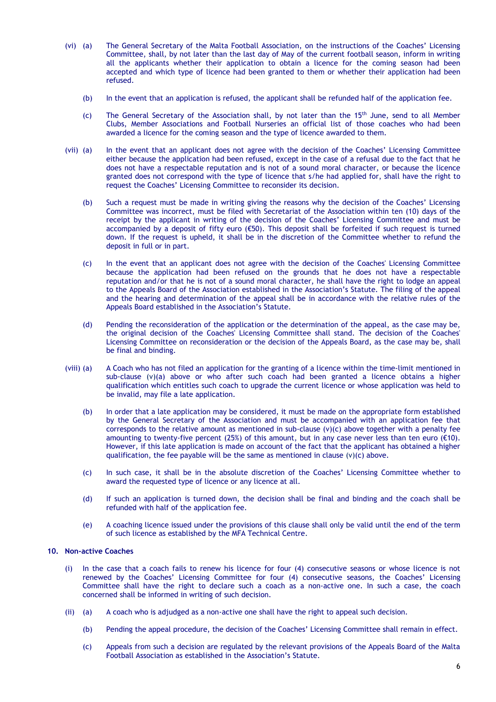- (vi) (a) The General Secretary of the Malta Football Association, on the instructions of the Coaches' Licensing Committee, shall, by not later than the last day of May of the current football season, inform in writing all the applicants whether their application to obtain a licence for the coming season had been accepted and which type of licence had been granted to them or whether their application had been refused.
	- (b) In the event that an application is refused, the applicant shall be refunded half of the application fee.
	- (c) The General Secretary of the Association shall, by not later than the  $15<sup>th</sup>$  June, send to all Member Clubs, Member Associations and Football Nurseries an official list of those coaches who had been awarded a licence for the coming season and the type of licence awarded to them.
- (vii) (a) In the event that an applicant does not agree with the decision of the Coaches' Licensing Committee either because the application had been refused, except in the case of a refusal due to the fact that he does not have a respectable reputation and is not of a sound moral character, or because the licence granted does not correspond with the type of licence that s/he had applied for, shall have the right to request the Coaches' Licensing Committee to reconsider its decision.
	- (b) Such a request must be made in writing giving the reasons why the decision of the Coaches' Licensing Committee was incorrect, must be filed with Secretariat of the Association within ten (10) days of the receipt by the applicant in writing of the decision of the Coaches' Licensing Committee and must be accompanied by a deposit of fifty euro (€50). This deposit shall be forfeited if such request is turned down. If the request is upheld, it shall be in the discretion of the Committee whether to refund the deposit in full or in part.
	- (c) In the event that an applicant does not agree with the decision of the Coaches' Licensing Committee because the application had been refused on the grounds that he does not have a respectable reputation and/or that he is not of a sound moral character, he shall have the right to lodge an appeal to the Appeals Board of the Association established in the Association's Statute. The filing of the appeal and the hearing and determination of the appeal shall be in accordance with the relative rules of the Appeals Board established in the Association's Statute.
	- (d) Pending the reconsideration of the application or the determination of the appeal, as the case may be, the original decision of the Coaches' Licensing Committee shall stand. The decision of the Coaches' Licensing Committee on reconsideration or the decision of the Appeals Board, as the case may be, shall be final and binding.
- (viii) (a) A Coach who has not filed an application for the granting of a licence within the time-limit mentioned in sub-clause (v)(a) above or who after such coach had been granted a licence obtains a higher qualification which entitles such coach to upgrade the current licence or whose application was held to be invalid, may file a late application.
	- (b) In order that a late application may be considered, it must be made on the appropriate form established by the General Secretary of the Association and must be accompanied with an application fee that corresponds to the relative amount as mentioned in sub-clause (v)(c) above together with a penalty fee amounting to twenty-five percent (25%) of this amount, but in any case never less than ten euro ( $\epsilon$ 10). However, if this late application is made on account of the fact that the applicant has obtained a higher qualification, the fee payable will be the same as mentioned in clause  $(v)(c)$  above.
	- (c) In such case, it shall be in the absolute discretion of the Coaches' Licensing Committee whether to award the requested type of licence or any licence at all.
	- (d) If such an application is turned down, the decision shall be final and binding and the coach shall be refunded with half of the application fee.
	- (e) A coaching licence issued under the provisions of this clause shall only be valid until the end of the term of such licence as established by the MFA Technical Centre.

# **10. Non-active Coaches**

- (i) In the case that a coach fails to renew his licence for four (4) consecutive seasons or whose licence is not renewed by the Coaches' Licensing Committee for four (4) consecutive seasons, the Coaches' Licensing Committee shall have the right to declare such a coach as a non-active one. In such a case, the coach concerned shall be informed in writing of such decision.
- (ii) (a) A coach who is adjudged as a non-active one shall have the right to appeal such decision.
	- (b) Pending the appeal procedure, the decision of the Coaches' Licensing Committee shall remain in effect.
	- (c) Appeals from such a decision are regulated by the relevant provisions of the Appeals Board of the Malta Football Association as established in the Association's Statute.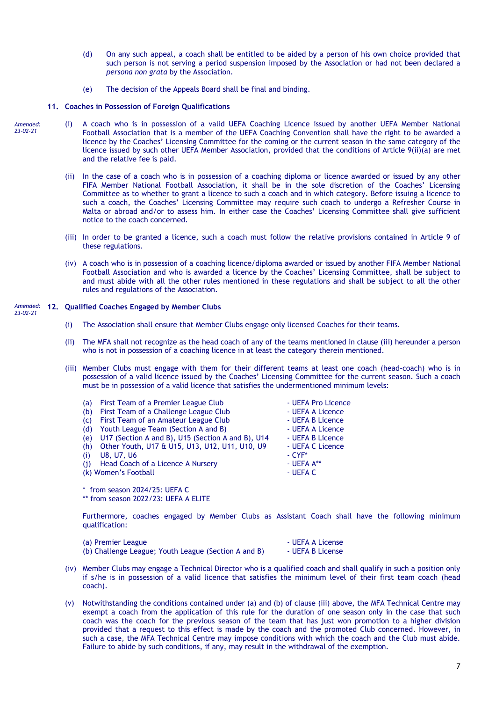- (d) On any such appeal, a coach shall be entitled to be aided by a person of his own choice provided that such person is not serving a period suspension imposed by the Association or had not been declared a *persona non grata* by the Association.
- (e) The decision of the Appeals Board shall be final and binding.

### **11. Coaches in Possession of Foreign Qualifications**

- (i) A coach who is in possession of a valid UEFA Coaching Licence issued by another UEFA Member National Football Association that is a member of the UEFA Coaching Convention shall have the right to be awarded a licence by the Coaches' Licensing Committee for the coming or the current season in the same category of the licence issued by such other UEFA Member Association, provided that the conditions of Article 9(ii)(a) are met and the relative fee is paid. *Amended: 23-02-21*
	- (ii) In the case of a coach who is in possession of a coaching diploma or licence awarded or issued by any other FIFA Member National Football Association, it shall be in the sole discretion of the Coaches' Licensing Committee as to whether to grant a licence to such a coach and in which category. Before issuing a licence to such a coach, the Coaches' Licensing Committee may require such coach to undergo a Refresher Course in Malta or abroad and/or to assess him. In either case the Coaches' Licensing Committee shall give sufficient notice to the coach concerned.
	- (iii) In order to be granted a licence, such a coach must follow the relative provisions contained in Article 9 of these regulations.
	- (iv) A coach who is in possession of a coaching licence/diploma awarded or issued by another FIFA Member National Football Association and who is awarded a licence by the Coaches' Licensing Committee, shall be subject to and must abide with all the other rules mentioned in these regulations and shall be subject to all the other rules and regulations of the Association.

#### **12. Qualified Coaches Engaged by Member Clubs** *Amended: 23-02-21*

- (i) The Association shall ensure that Member Clubs engage only licensed Coaches for their teams.
- (ii) The MFA shall not recognize as the head coach of any of the teams mentioned in clause (iii) hereunder a person who is not in possession of a coaching licence in at least the category therein mentioned.
- (iii) Member Clubs must engage with them for their different teams at least one coach (head-coach) who is in possession of a valid licence issued by the Coaches' Licensing Committee for the current season. Such a coach must be in possession of a valid licence that satisfies the undermentioned minimum levels:

| (a) | First Team of a Premier League Club               | - UEFA Pro Licence |
|-----|---------------------------------------------------|--------------------|
| (b) | First Team of a Challenge League Club             | - UEFA A Licence   |
| (c) | First Team of an Amateur League Club              | - UEFA B Licence   |
| (d) | Youth League Team (Section A and B)               | - UEFA A Licence   |
| (e) | U17 (Section A and B), U15 (Section A and B), U14 | - UEFA B Licence   |
| (h) | Other Youth, U17 & U15, U13, U12, U11, U10, U9    | - UEFA C Licence   |
| (i) | <b>U8, U7, U6</b>                                 | $-CYF^*$           |
| (i) | Head Coach of a Licence A Nursery                 | - UEFA A**         |
|     | (k) Women's Football                              | - UEFA C           |
|     |                                                   |                    |

\* from season 2024/25: UEFA C \*\* from season 2022/23: UEFA A ELITE

Furthermore, coaches engaged by Member Clubs as Assistant Coach shall have the following minimum qualification:

| (a) Premier League                                   | - UEFA A License |
|------------------------------------------------------|------------------|
| (b) Challenge League; Youth League (Section A and B) | - UEFA B License |

- (iv) Member Clubs may engage a Technical Director who is a qualified coach and shall qualify in such a position only if s/he is in possession of a valid licence that satisfies the minimum level of their first team coach (head coach).
- (v) Notwithstanding the conditions contained under (a) and (b) of clause (iii) above, the MFA Technical Centre may exempt a coach from the application of this rule for the duration of one season only in the case that such coach was the coach for the previous season of the team that has just won promotion to a higher division provided that a request to this effect is made by the coach and the promoted Club concerned. However, in such a case, the MFA Technical Centre may impose conditions with which the coach and the Club must abide. Failure to abide by such conditions, if any, may result in the withdrawal of the exemption.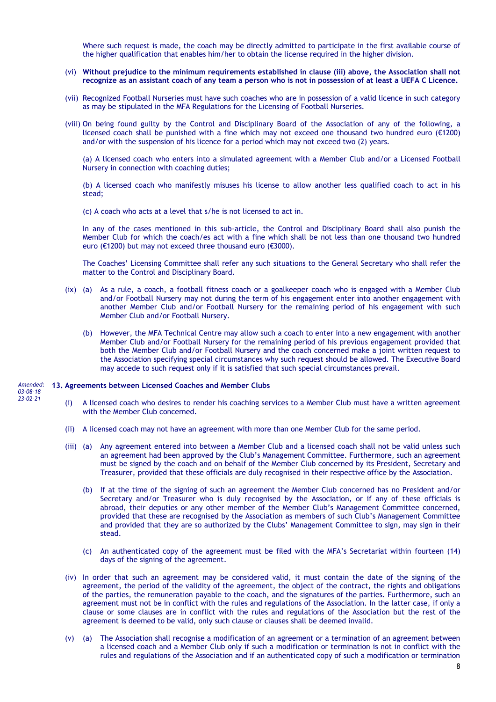Where such request is made, the coach may be directly admitted to participate in the first available course of the higher qualification that enables him/her to obtain the license required in the higher division.

- (vi) **Without prejudice to the minimum requirements established in clause (iii) above, the Association shall not recognize as an assistant coach of any team a person who is not in possession of at least a UEFA C Licence.**
- (vii) Recognized Football Nurseries must have such coaches who are in possession of a valid licence in such category as may be stipulated in the MFA Regulations for the Licensing of Football Nurseries.
- (viii) On being found guilty by the Control and Disciplinary Board of the Association of any of the following, a licensed coach shall be punished with a fine which may not exceed one thousand two hundred euro (€1200) and/or with the suspension of his licence for a period which may not exceed two (2) years.

(a) A licensed coach who enters into a simulated agreement with a Member Club and/or a Licensed Football Nursery in connection with coaching duties;

(b) A licensed coach who manifestly misuses his license to allow another less qualified coach to act in his stead;

(c) A coach who acts at a level that s/he is not licensed to act in.

In any of the cases mentioned in this sub-article, the Control and Disciplinary Board shall also punish the Member Club for which the coach/es act with a fine which shall be not less than one thousand two hundred euro (€1200) but may not exceed three thousand euro (€3000).

The Coaches' Licensing Committee shall refer any such situations to the General Secretary who shall refer the matter to the Control and Disciplinary Board.

- (ix) (a) As a rule, a coach, a football fitness coach or a goalkeeper coach who is engaged with a Member Club and/or Football Nursery may not during the term of his engagement enter into another engagement with another Member Club and/or Football Nursery for the remaining period of his engagement with such Member Club and/or Football Nursery.
	- (b) However, the MFA Technical Centre may allow such a coach to enter into a new engagement with another Member Club and/or Football Nursery for the remaining period of his previous engagement provided that both the Member Club and/or Football Nursery and the coach concerned make a joint written request to the Association specifying special circumstances why such request should be allowed. The Executive Board may accede to such request only if it is satisfied that such special circumstances prevail.

#### **113. Agreements between Licensed Coaches and Member Clubs** *Amended:*

*03-08-18 23-02-21*

- (i) A licensed coach who desires to render his coaching services to a Member Club must have a written agreement with the Member Club concerned.
- (ii) A licensed coach may not have an agreement with more than one Member Club for the same period.
- (iii) (a) Any agreement entered into between a Member Club and a licensed coach shall not be valid unless such an agreement had been approved by the Club's Management Committee. Furthermore, such an agreement must be signed by the coach and on behalf of the Member Club concerned by its President, Secretary and Treasurer, provided that these officials are duly recognised in their respective office by the Association.
	- (b) If at the time of the signing of such an agreement the Member Club concerned has no President and/or Secretary and/or Treasurer who is duly recognised by the Association, or if any of these officials is abroad, their deputies or any other member of the Member Club's Management Committee concerned, provided that these are recognised by the Association as members of such Club's Management Committee and provided that they are so authorized by the Clubs' Management Committee to sign, may sign in their stead.
	- (c) An authenticated copy of the agreement must be filed with the MFA's Secretariat within fourteen (14) days of the signing of the agreement.
- (iv) In order that such an agreement may be considered valid, it must contain the date of the signing of the agreement, the period of the validity of the agreement, the object of the contract, the rights and obligations of the parties, the remuneration payable to the coach, and the signatures of the parties. Furthermore, such an agreement must not be in conflict with the rules and regulations of the Association. In the latter case, if only a clause or some clauses are in conflict with the rules and regulations of the Association but the rest of the agreement is deemed to be valid, only such clause or clauses shall be deemed invalid.
- (v) (a) The Association shall recognise a modification of an agreement or a termination of an agreement between a licensed coach and a Member Club only if such a modification or termination is not in conflict with the rules and regulations of the Association and if an authenticated copy of such a modification or termination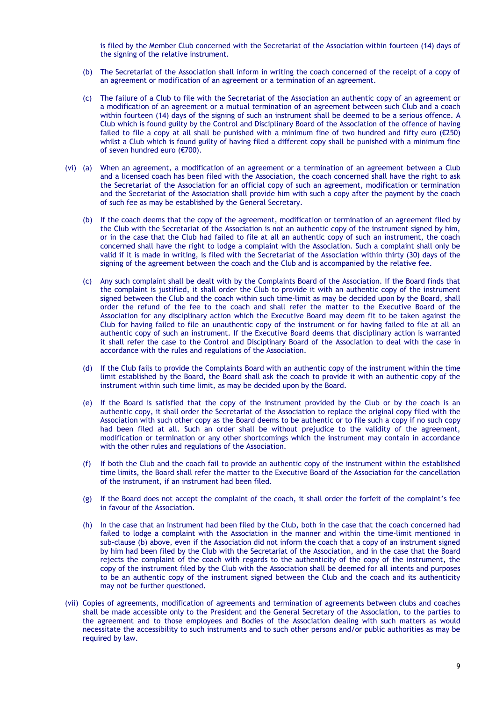is filed by the Member Club concerned with the Secretariat of the Association within fourteen (14) days of the signing of the relative instrument.

- (b) The Secretariat of the Association shall inform in writing the coach concerned of the receipt of a copy of an agreement or modification of an agreement or a termination of an agreement.
- (c) The failure of a Club to file with the Secretariat of the Association an authentic copy of an agreement or a modification of an agreement or a mutual termination of an agreement between such Club and a coach within fourteen (14) days of the signing of such an instrument shall be deemed to be a serious offence. A Club which is found guilty by the Control and Disciplinary Board of the Association of the offence of having failed to file a copy at all shall be punished with a minimum fine of two hundred and fifty euro ( $\epsilon$ 250) whilst a Club which is found guilty of having filed a different copy shall be punished with a minimum fine of seven hundred euro (€700).
- (vi) (a) When an agreement, a modification of an agreement or a termination of an agreement between a Club and a licensed coach has been filed with the Association, the coach concerned shall have the right to ask the Secretariat of the Association for an official copy of such an agreement, modification or termination and the Secretariat of the Association shall provide him with such a copy after the payment by the coach of such fee as may be established by the General Secretary.
	- (b) If the coach deems that the copy of the agreement, modification or termination of an agreement filed by the Club with the Secretariat of the Association is not an authentic copy of the instrument signed by him, or in the case that the Club had failed to file at all an authentic copy of such an instrument, the coach concerned shall have the right to lodge a complaint with the Association. Such a complaint shall only be valid if it is made in writing, is filed with the Secretariat of the Association within thirty (30) days of the signing of the agreement between the coach and the Club and is accompanied by the relative fee.
	- (c) Any such complaint shall be dealt with by the Complaints Board of the Association. If the Board finds that the complaint is justified, it shall order the Club to provide it with an authentic copy of the instrument signed between the Club and the coach within such time-limit as may be decided upon by the Board, shall order the refund of the fee to the coach and shall refer the matter to the Executive Board of the Association for any disciplinary action which the Executive Board may deem fit to be taken against the Club for having failed to file an unauthentic copy of the instrument or for having failed to file at all an authentic copy of such an instrument. If the Executive Board deems that disciplinary action is warranted it shall refer the case to the Control and Disciplinary Board of the Association to deal with the case in accordance with the rules and regulations of the Association.
	- (d) If the Club fails to provide the Complaints Board with an authentic copy of the instrument within the time limit established by the Board, the Board shall ask the coach to provide it with an authentic copy of the instrument within such time limit, as may be decided upon by the Board.
	- (e) If the Board is satisfied that the copy of the instrument provided by the Club or by the coach is an authentic copy, it shall order the Secretariat of the Association to replace the original copy filed with the Association with such other copy as the Board deems to be authentic or to file such a copy if no such copy had been filed at all. Such an order shall be without prejudice to the validity of the agreement, modification or termination or any other shortcomings which the instrument may contain in accordance with the other rules and regulations of the Association.
	- (f) If both the Club and the coach fail to provide an authentic copy of the instrument within the established time limits, the Board shall refer the matter to the Executive Board of the Association for the cancellation of the instrument, if an instrument had been filed.
	- (g) If the Board does not accept the complaint of the coach, it shall order the forfeit of the complaint's fee in favour of the Association.
	- (h) In the case that an instrument had been filed by the Club, both in the case that the coach concerned had failed to lodge a complaint with the Association in the manner and within the time-limit mentioned in sub-clause (b) above, even if the Association did not inform the coach that a copy of an instrument signed by him had been filed by the Club with the Secretariat of the Association, and in the case that the Board rejects the complaint of the coach with regards to the authenticity of the copy of the instrument, the copy of the instrument filed by the Club with the Association shall be deemed for all intents and purposes to be an authentic copy of the instrument signed between the Club and the coach and its authenticity may not be further questioned.
- (vii) Copies of agreements, modification of agreements and termination of agreements between clubs and coaches shall be made accessible only to the President and the General Secretary of the Association, to the parties to the agreement and to those employees and Bodies of the Association dealing with such matters as would necessitate the accessibility to such instruments and to such other persons and/or public authorities as may be required by law.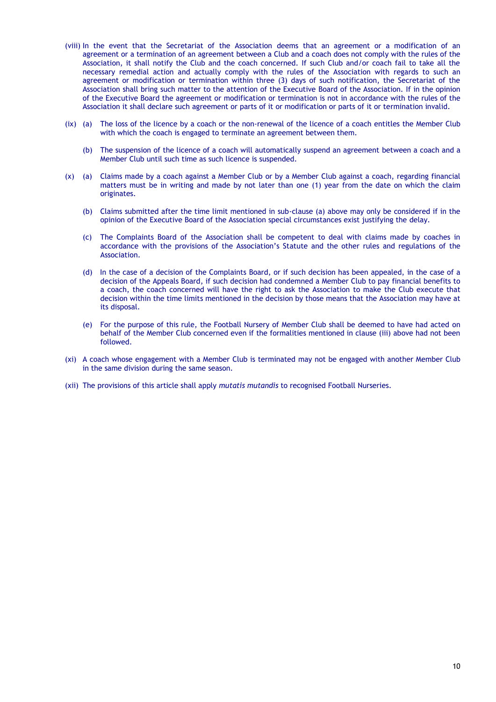- (viii) In the event that the Secretariat of the Association deems that an agreement or a modification of an agreement or a termination of an agreement between a Club and a coach does not comply with the rules of the Association, it shall notify the Club and the coach concerned. If such Club and/or coach fail to take all the necessary remedial action and actually comply with the rules of the Association with regards to such an agreement or modification or termination within three (3) days of such notification, the Secretariat of the Association shall bring such matter to the attention of the Executive Board of the Association. If in the opinion of the Executive Board the agreement or modification or termination is not in accordance with the rules of the Association it shall declare such agreement or parts of it or modification or parts of it or termination invalid.
- (ix) (a) The loss of the licence by a coach or the non-renewal of the licence of a coach entitles the Member Club with which the coach is engaged to terminate an agreement between them.
	- (b) The suspension of the licence of a coach will automatically suspend an agreement between a coach and a Member Club until such time as such licence is suspended.
- (x) (a) Claims made by a coach against a Member Club or by a Member Club against a coach, regarding financial matters must be in writing and made by not later than one (1) year from the date on which the claim originates.
	- (b) Claims submitted after the time limit mentioned in sub-clause (a) above may only be considered if in the opinion of the Executive Board of the Association special circumstances exist justifying the delay.
	- (c) The Complaints Board of the Association shall be competent to deal with claims made by coaches in accordance with the provisions of the Association's Statute and the other rules and regulations of the Association.
	- (d) In the case of a decision of the Complaints Board, or if such decision has been appealed, in the case of a decision of the Appeals Board, if such decision had condemned a Member Club to pay financial benefits to a coach, the coach concerned will have the right to ask the Association to make the Club execute that decision within the time limits mentioned in the decision by those means that the Association may have at its disposal.
	- (e) For the purpose of this rule, the Football Nursery of Member Club shall be deemed to have had acted on behalf of the Member Club concerned even if the formalities mentioned in clause (iii) above had not been followed.
- (xi) A coach whose engagement with a Member Club is terminated may not be engaged with another Member Club in the same division during the same season.
- (xii) The provisions of this article shall apply *mutatis mutandis* to recognised Football Nurseries.